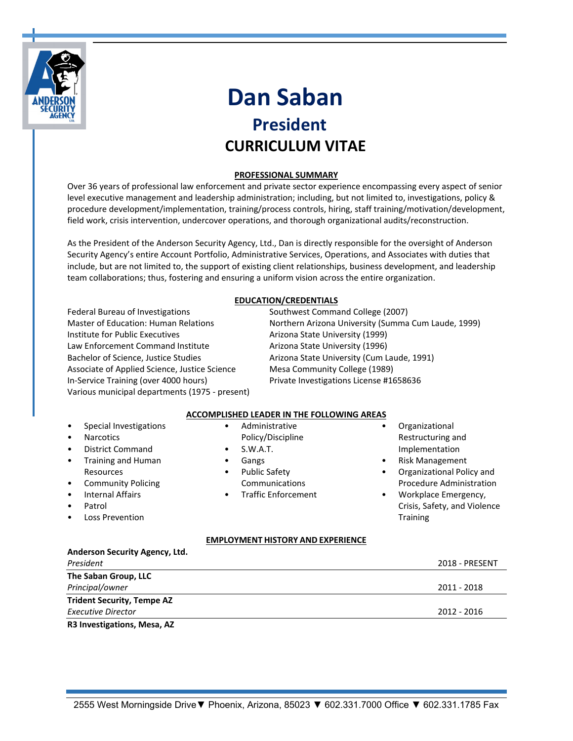

# **Dan Saban**<br>**President CURRICULUM VITAE**

# **PROFESSIONAL SUMMARY**

Over 36 years of professional law enforcement and private sector experience encompassing every aspect of senior level executive management and leadership administration; including, but not limited to, investigations, policy & procedure development/implementation, training/process controls, hiring, staff training/motivation/development, field work, crisis intervention, undercover operations, and thorough organizational audits/reconstruction.

As the President of the Anderson Security Agency, Ltd., Dan is directly responsible for the oversight of Anderson Security Agency's entire Account Portfolio, Administrative Services, Operations, and Associates with duties that include, but are not limited to, the support of existing client relationships, business development, and leadership team collaborations; thus, fostering and ensuring a uniform vision across the entire organization.

# **EDUCATION/CREDENTIALS**

Federal Bureau of Investigations Southwest Command College (2007) Master of Education: Human Relations Northern Arizona University (Summa Cum Laude, 1999) Institute for Public Executives Arizona State University (1999) Law Enforcement Command Institute Arizona State University (1996) Bachelor of Science, Justice Studies **Arizona State University (Cum Laude, 1991)** Associate of Applied Science, Justice Science Mesa Community College (1989) In-Service Training (over 4000 hours) Private Investigations License #1658636 Various municipal departments (1975 - present)

# **ACCOMPLISHED LEADER IN THE FOLLOWING AREAS**

| Special Investigations                                                                                                                       | Administrative<br>$\bullet$                                                                    | Organizational                                                                                                                   |
|----------------------------------------------------------------------------------------------------------------------------------------------|------------------------------------------------------------------------------------------------|----------------------------------------------------------------------------------------------------------------------------------|
| <b>Narcotics</b><br>$\bullet$                                                                                                                | Policy/Discipline                                                                              | Restructuring and                                                                                                                |
| District Command<br>$\bullet$<br><b>Training and Human</b><br>$\bullet$                                                                      | S.W.A.T.<br>$\bullet$<br>Gangs                                                                 | Implementation<br><b>Risk Management</b><br>$\bullet$                                                                            |
| <b>Resources</b><br><b>Community Policing</b><br>$\bullet$<br><b>Internal Affairs</b><br>$\bullet$<br>Patrol<br>$\bullet$<br>Loss Prevention | <b>Public Safety</b><br>$\bullet$<br>Communications<br><b>Traffic Enforcement</b><br>$\bullet$ | Organizational Policy and<br>Procedure Administration<br>Workplace Emergency,<br>Crisis, Safety, and Violence<br><b>Training</b> |
|                                                                                                                                              | <b>EMPLOYMENT HISTORY AND EXPERIENCE</b>                                                       |                                                                                                                                  |
| Anderson Security Agency, Ltd.                                                                                                               |                                                                                                |                                                                                                                                  |
| President                                                                                                                                    |                                                                                                | <b>2018 - PRESENT</b>                                                                                                            |
| The Saban Group, LLC                                                                                                                         |                                                                                                |                                                                                                                                  |
| Principal/owner                                                                                                                              |                                                                                                | 2011 - 2018                                                                                                                      |
| <b>Trident Security, Tempe AZ</b>                                                                                                            |                                                                                                |                                                                                                                                  |

# *Executive Director* 2012 - 2016

**R3 Investigations, Mesa, AZ**

2555 West Morningside Drive ▼ Phoenix, Arizona, 85023 ▼ 602.331.7000 Office ▼ 602.331.1785 Fax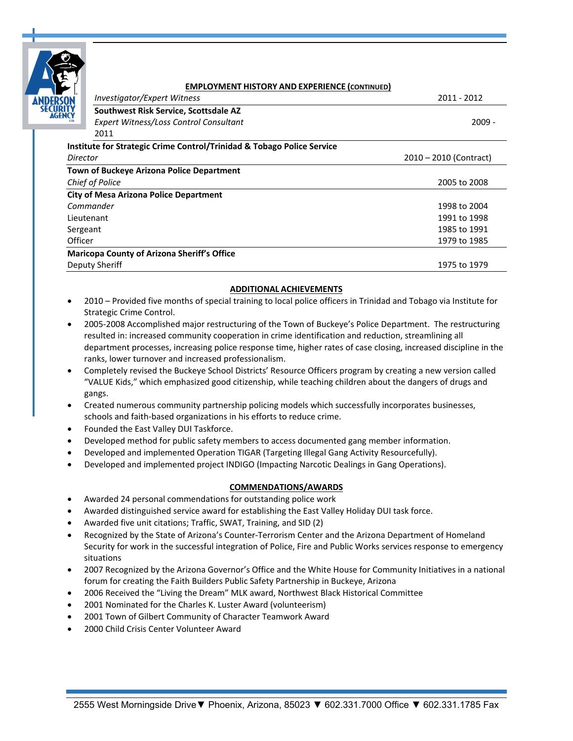| ä                 |
|-------------------|
| 2<br>ÿ<br>D<br>Ï. |
| LTD.              |

#### **EMPLOYMENT HISTORY AND EXPERIENCE (CONTINUED)**

|                 | <b>Investigator/Expert Witness</b>                                                | 2011 - 2012              |
|-----------------|-----------------------------------------------------------------------------------|--------------------------|
| EZZZ            | Southwest Risk Service, Scottsdale AZ                                             |                          |
|                 | Expert Witness/Loss Control Consultant                                            | $2009 -$                 |
|                 | 2011                                                                              |                          |
|                 | <b>Institute for Strategic Crime Control/Trinidad &amp; Tobago Police Service</b> |                          |
| Director        |                                                                                   | $2010 - 2010$ (Contract) |
|                 | <b>Town of Buckeye Arizona Police Department</b>                                  |                          |
| Chief of Police |                                                                                   | 2005 to 2008             |
|                 | <b>City of Mesa Arizona Police Department</b>                                     |                          |
| Commander       |                                                                                   | 1998 to 2004             |
| Lieutenant      |                                                                                   | 1991 to 1998             |
| Sergeant        |                                                                                   | 1985 to 1991             |
| Officer         |                                                                                   | 1979 to 1985             |
|                 | <b>Maricopa County of Arizona Sheriff's Office</b>                                |                          |
| Deputy Sheriff  |                                                                                   | 1975 to 1979             |
|                 |                                                                                   |                          |

## **ADDITIONAL ACHIEVEMENTS**

- 2010 Provided five months of special training to local police officers in Trinidad and Tobago via Institute for Strategic Crime Control.
- 2005-2008 Accomplished major restructuring of the Town of Buckeye's Police Department. The restructuring resulted in: increased community cooperation in crime identification and reduction, streamlining all department processes, increasing police response time, higher rates of case closing, increased discipline in the ranks, lower turnover and increased professionalism.
- Completely revised the Buckeye School Districts' Resource Officers program by creating a new version called "VALUE Kids," which emphasized good citizenship, while teaching children about the dangers of drugs and gangs.
- Created numerous community partnership policing models which successfully incorporates businesses, schools and faith-based organizations in his efforts to reduce crime.
- Founded the East Valley DUI Taskforce.
- Developed method for public safety members to access documented gang member information.
- Developed and implemented Operation TIGAR (Targeting Illegal Gang Activity Resourcefully).
- Developed and implemented project INDIGO (Impacting Narcotic Dealings in Gang Operations).

## **COMMENDATIONS/AWARDS**

- Awarded 24 personal commendations for outstanding police work
- Awarded distinguished service award for establishing the East Valley Holiday DUI task force.
- Awarded five unit citations; Traffic, SWAT, Training, and SID (2)
- Recognized by the State of Arizona's Counter-Terrorism Center and the Arizona Department of Homeland Security for work in the successful integration of Police, Fire and Public Works services response to emergency situations
- 2007 Recognized by the Arizona Governor's Office and the White House for Community Initiatives in a national forum for creating the Faith Builders Public Safety Partnership in Buckeye, Arizona
- 2006 Received the "Living the Dream" MLK award, Northwest Black Historical Committee
- 2001 Nominated for the Charles K. Luster Award (volunteerism)
- 2001 Town of Gilbert Community of Character Teamwork Award
- 2000 Child Crisis Center Volunteer Award